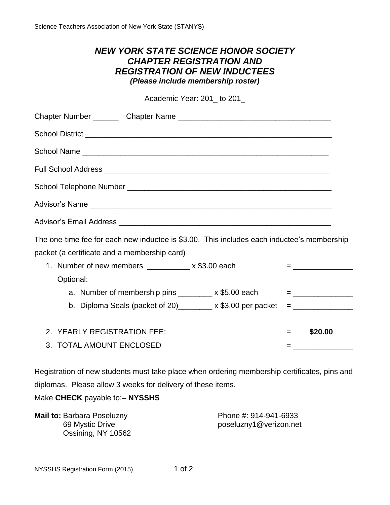## *NEW YORK STATE SCIENCE HONOR SOCIETY CHAPTER REGISTRATION AND REGISTRATION OF NEW INDUCTEES (Please include membership roster)*

Academic Year: 201\_ to 201\_

| School District <u>New York Community of the School District of the School District of the School District of the School District of the School District of the School District of the School District of the School District of</u> |     |                             |
|--------------------------------------------------------------------------------------------------------------------------------------------------------------------------------------------------------------------------------------|-----|-----------------------------|
|                                                                                                                                                                                                                                      |     |                             |
|                                                                                                                                                                                                                                      |     |                             |
|                                                                                                                                                                                                                                      |     |                             |
|                                                                                                                                                                                                                                      |     |                             |
|                                                                                                                                                                                                                                      |     |                             |
| The one-time fee for each new inductee is \$3.00. This includes each inductee's membership                                                                                                                                           |     |                             |
| packet (a certificate and a membership card)                                                                                                                                                                                         |     |                             |
| 1. Number of new members __________ x \$3.00 each                                                                                                                                                                                    |     | $=$ <u>________________</u> |
| Optional:                                                                                                                                                                                                                            |     |                             |
| a. Number of membership pins ________ x \$5.00 each $=$ ________________                                                                                                                                                             |     |                             |
| b. Diploma Seals (packet of 20)________ x \$3.00 per packet $=$ ______________                                                                                                                                                       |     |                             |
|                                                                                                                                                                                                                                      |     |                             |
| 2. YEARLY REGISTRATION FEE:                                                                                                                                                                                                          | $=$ | \$20.00                     |
| 3. TOTAL AMOUNT ENCLOSED                                                                                                                                                                                                             | $=$ |                             |

Registration of new students must take place when ordering membership certificates, pins and diplomas. Please allow 3 weeks for delivery of these items.

Make **CHECK** payable to:**– NYSSHS**

| <b>Mail to: Barbara Poseluzny</b> | Phone #: 914-941-6933  |
|-----------------------------------|------------------------|
| 69 Mystic Drive                   | poseluzny1@verizon.net |
| Ossining, NY 10562                |                        |